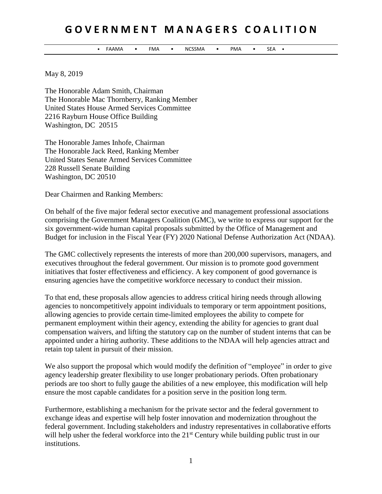## **G O V E R N M E N T M A N A G E R S C O A L I T I O N**

• FAAMA • FMA • NCSSMA • PMA • SEA •

May 8, 2019

The Honorable Adam Smith, Chairman The Honorable Mac Thornberry, Ranking Member United States House Armed Services Committee 2216 Rayburn House Office Building Washington, DC 20515

The Honorable James Inhofe, Chairman The Honorable Jack Reed, Ranking Member United States Senate Armed Services Committee 228 Russell Senate Building Washington, DC 20510

Dear Chairmen and Ranking Members:

On behalf of the five major federal sector executive and management professional associations comprising the Government Managers Coalition (GMC), we write to express our support for the six government-wide human capital proposals submitted by the Office of Management and Budget for inclusion in the Fiscal Year (FY) 2020 National Defense Authorization Act (NDAA).

The GMC collectively represents the interests of more than 200,000 supervisors, managers, and executives throughout the federal government. Our mission is to promote good government initiatives that foster effectiveness and efficiency. A key component of good governance is ensuring agencies have the competitive workforce necessary to conduct their mission.

To that end, these proposals allow agencies to address critical hiring needs through allowing agencies to noncompetitively appoint individuals to temporary or term appointment positions, allowing agencies to provide certain time-limited employees the ability to compete for permanent employment within their agency, extending the ability for agencies to grant dual compensation waivers, and lifting the statutory cap on the number of student interns that can be appointed under a hiring authority. These additions to the NDAA will help agencies attract and retain top talent in pursuit of their mission.

We also support the proposal which would modify the definition of "employee" in order to give agency leadership greater flexibility to use longer probationary periods. Often probationary periods are too short to fully gauge the abilities of a new employee, this modification will help ensure the most capable candidates for a position serve in the position long term.

Furthermore, establishing a mechanism for the private sector and the federal government to exchange ideas and expertise will help foster innovation and modernization throughout the federal government. Including stakeholders and industry representatives in collaborative efforts will help usher the federal workforce into the 21<sup>st</sup> Century while building public trust in our institutions.